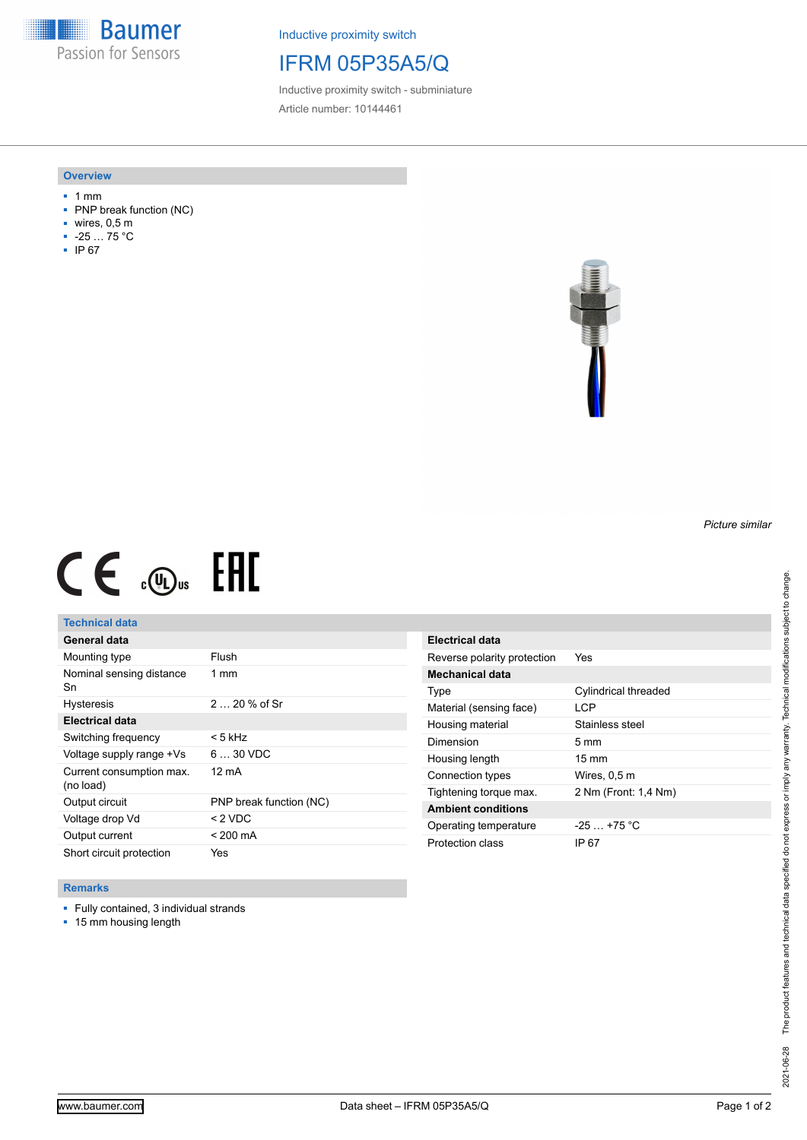**Baumer** Passion for Sensors

Inductive proximity switch

## IFRM 05P35A5/Q

Inductive proximity switch - subminiature Article number: 10144461

#### **Overview**

- 1 mm
- PNP break function (NC)
- wires, 0,5 m
- -25 … 75 °C
- IP 67



# $CE \mathcal{L}$  (Dus FRE

## **Technical data**

| General data                          |                         |
|---------------------------------------|-------------------------|
| Mounting type                         | Flush                   |
| Nominal sensing distance<br>Sn        | $1 \text{ mm}$          |
| <b>Hysteresis</b>                     | $220%$ of Sr            |
| <b>Electrical data</b>                |                         |
| Switching frequency                   | < 5 kHz                 |
| Voltage supply range +Vs              | $630$ VDC               |
| Current consumption max.<br>(no load) | 12 mA                   |
| Output circuit                        | PNP break function (NC) |
| Voltage drop Vd                       | $<$ 2 VDC               |
| Output current                        | $< 200 \text{ mA}$      |
| Short circuit protection              | Yes                     |

| Electrical data             |                      |
|-----------------------------|----------------------|
| Reverse polarity protection | Yes                  |
| Mechanical data             |                      |
| Type                        | Cylindrical threaded |
| Material (sensing face)     | LCP                  |
| Housing material            | Stainless steel      |
| Dimension                   | $5 \text{ mm}$       |
| Housing length              | $15 \text{ mm}$      |
| Connection types            | Wires, 0,5 m         |
| Tightening torque max.      | 2 Nm (Front: 1,4 Nm) |
| <b>Ambient conditions</b>   |                      |
| Operating temperature       | $-25$ $+75$ °C       |
|                             |                      |

### **Remarks**

- Fully contained, 3 individual strands
- 15 mm housing length

*Picture similar*